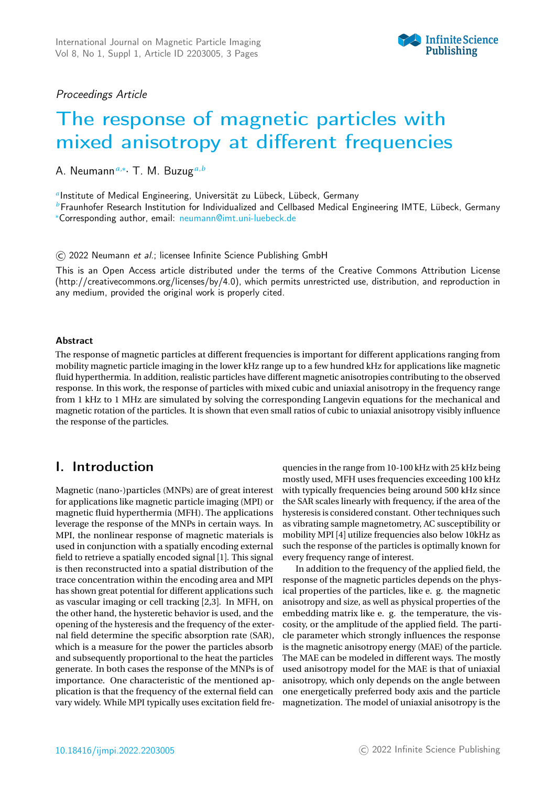

### Proceedings Article

# The response of magnetic particles with mixed anisotropy at different frequencies

A. Neumann*<sup>a</sup>*,<sup>∗</sup> · T. M. Buzug*<sup>a</sup>*,*<sup>b</sup>*

*a* Institute of Medical Engineering, Universität zu Lübeck, Lübeck, Germany

*<sup>b</sup>* Fraunhofer Research Institution for Individualized and Cellbased Medical Engineering IMTE, Lübeck, Germany <sup>∗</sup>Corresponding author, email: [neumann@imt.uni-luebeck.de](mailto:neumann@imt.uni-luebeck.de)

© 2022 Neumann et al.; licensee Infinite Science Publishing GmbH

This is an Open Access article distributed under the terms of the Creative Commons Attribution License (http://creativecommons.org/licenses/by/4.0), which permits unrestricted use, distribution, and reproduction in any medium, provided the original work is properly cited.

#### Abstract

The response of magnetic particles at different frequencies is important for different applications ranging from mobility magnetic particle imaging in the lower kHz range up to a few hundred kHz for applications like magnetic fluid hyperthermia. In addition, realistic particles have different magnetic anisotropies contributing to the observed response. In this work, the response of particles with mixed cubic and uniaxial anisotropy in the frequency range from 1 kHz to 1 MHz are simulated by solving the corresponding Langevin equations for the mechanical and magnetic rotation of the particles. It is shown that even small ratios of cubic to uniaxial anisotropy visibly influence the response of the particles.

## I. Introduction

Magnetic (nano-)particles (MNPs) are of great interest for applications like magnetic particle imaging (MPI) or magnetic fluid hyperthermia (MFH). The applications leverage the response of the MNPs in certain ways. In MPI, the nonlinear response of magnetic materials is used in conjunction with a spatially encoding external field to retrieve a spatially encoded signal [1]. This signal is then reconstructed into a spatial distribution of the trace concentration within the encoding area and MPI has shown great potential for different applications such as vascular imaging or cell tracking [2,3]. In MFH, on the other hand, the hysteretic behavior is used, and the opening of the hysteresis and the frequency of the external field determine the specific absorption rate (SAR), which is a measure for the power the particles absorb and subsequently proportional to the heat the particles generate. In both cases the response of the MNPs is of importance. One characteristic of the mentioned application is that the frequency of the external field can vary widely. While MPI typically uses excitation field fre-

quencies in the range from 10-100 kHz with 25 kHz being mostly used, MFH uses frequencies exceeding 100 kHz with typically frequencies being around 500 kHz since the SAR scales linearly with frequency, if the area of the hysteresis is considered constant. Other techniques such as vibrating sample magnetometry, AC susceptibility or mobility MPI [4] utilize frequencies also below 10kHz as such the response of the particles is optimally known for every frequency range of interest.

In addition to the frequency of the applied field, the response of the magnetic particles depends on the physical properties of the particles, like e. g. the magnetic anisotropy and size, as well as physical properties of the embedding matrix like e. g. the temperature, the viscosity, or the amplitude of the applied field. The particle parameter which strongly influences the response is the magnetic anisotropy energy (MAE) of the particle. The MAE can be modeled in different ways. The mostly used anisotropy model for the MAE is that of uniaxial anisotropy, which only depends on the angle between one energetically preferred body axis and the particle magnetization. The model of uniaxial anisotropy is the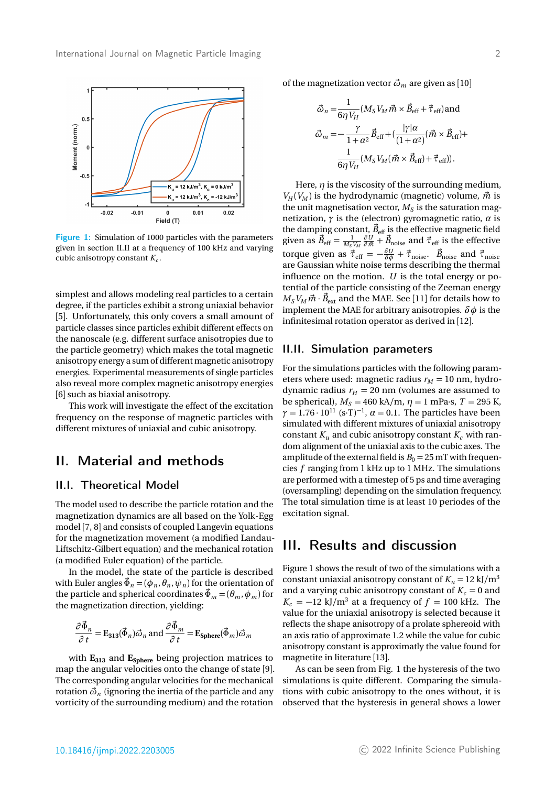

Figure 1: Simulation of 1000 particles with the parameters given in section II.II at a frequency of 100 kHz and varying cubic anisotropy constant *K<sup>c</sup>* .

simplest and allows modeling real particles to a certain degree, if the particles exhibit a strong uniaxial behavior [5]. Unfortunately, this only covers a small amount of particle classes since particles exhibit different effects on the nanoscale (e.g. different surface anisotropies due to the particle geometry) which makes the total magnetic anisotropy energy a sum of different magnetic anisotropy energies. Experimental measurements of single particles also reveal more complex magnetic anisotropy energies [6] such as biaxial anisotropy.

This work will investigate the effect of the excitation frequency on the response of magnetic particles with different mixtures of uniaxial and cubic anisotropy.

### II. Material and methods

#### II.I. Theoretical Model

The model used to describe the particle rotation and the magnetization dynamics are all based on the Yolk-Egg model [7, 8] and consists of coupled Langevin equations for the magnetization movement (a modified Landau-Liftschitz-Gilbert equation) and the mechanical rotation (a modified Euler equation) of the particle.

In the model, the state of the particle is described with Euler angles  $\vec{\Phi}_n = (\phi_n, \theta_n, \psi_n)$  for the orientation of the particle and spherical coordinates  $\vec{\Phi}_m = (\theta_m, \phi_m)$  for the magnetization direction, yielding:

$$
\frac{\partial \vec{\Phi}_n}{\partial t} = \mathbf{E}_{313}(\vec{\Phi}_n)\vec{\omega}_n \text{ and } \frac{\partial \vec{\Phi}_m}{\partial t} = \mathbf{E}_{\text{Sphere}}(\vec{\Phi}_m)\vec{\omega}_m
$$

with **E<sup>313</sup>** and **ESphere** being projection matrices to map the angular velocities onto the change of state [9]. The corresponding angular velocities for the mechanical rotation  $\vec{\omega}_n$  (ignoring the inertia of the particle and any vorticity of the surrounding medium) and the rotation

of the magnetization vector  $\vec{\omega}_m$  are given as [10]

$$
\vec{\omega}_n = \frac{1}{6\eta V_H} (M_S V_M \vec{m} \times \vec{B}_{\text{eff}} + \vec{\tau}_{\text{eff}}) \text{and}
$$

$$
\vec{\omega}_m = -\frac{\gamma}{1 + \alpha^2} \vec{B}_{\text{eff}} + \left(\frac{|\gamma|\alpha}{(1 + \alpha^2)} (\vec{m} \times \vec{B}_{\text{eff}}) + \frac{1}{6\eta V_H} (M_S V_M (\vec{m} \times \vec{B}_{\text{eff}}) + \vec{\tau}_{\text{eff}}) \right).
$$

Here,  $\eta$  is the viscosity of the surrounding medium,  $V_H(V_M)$  is the hydrodynamic (magnetic) volume,  $\vec{m}$  is the unit magnetisation vector,  $M_S$  is the saturation magnetization, *γ* is the (electron) gyromagnetic ratio, *α* is the damping constant,  $\vec{B}_{\mathrm{eff}}$  is the effective magnetic field given as  $\vec{B}_{\text{eff}} = \frac{1}{M_S V_M} \frac{\partial U}{\partial \vec{m}} + \vec{B}_{\text{noise}}$  and  $\vec{\tau}_{\text{eff}}$  is the effective torque given as  $\vec{\tau}_{\text{eff}} = -\frac{\delta U}{\delta \phi} + \vec{\tau}_{\text{noise}}$ .  $\vec{B}_{\text{noise}}$  and  $\vec{\tau}_{\text{noise}}$ are Gaussian white noise terms describing the thermal influence on the motion. *U* is the total energy or potential of the particle consisting of the Zeeman energy  $M_S V_M \vec{m} \cdot \vec{B}_{\mathrm{ext}}$  and the MAE. See [11] for details how to implement the MAE for arbitrary anisotropies.  $\delta \phi$  is the infinitesimal rotation operator as derived in [12].

#### II.II. Simulation parameters

For the simulations particles with the following parameters where used: magnetic radius  $r_M = 10$  nm, hydrodynamic radius  $r_H = 20$  nm (volumes are assumed to be spherical),  $M_S = 460 \text{ kA/m}$ ,  $\eta = 1 \text{ mPa·s}$ ,  $T = 295 \text{ K}$ ,  $\gamma = 1.76 \cdot 10^{11}$  (s·T)<sup>-1</sup>,  $\alpha = 0.1$ . The particles have been simulated with different mixtures of uniaxial anisotropy constant  $K_u$  and cubic anisotropy constant  $K_c$  with random alignment of the uniaxial axis to the cubic axes. The amplitude of the external field is  $B_0 = 25$  mT with frequencies *f* ranging from 1 kHz up to 1 MHz. The simulations are performed with a timestep of 5 ps and time averaging (oversampling) depending on the simulation frequency. The total simulation time is at least 10 periodes of the excitation signal.

### III. Results and discussion

Figure 1 shows the result of two of the simulations with a constant uniaxial anisotropy constant of  $K_u = 12 \text{ kJ/m}^3$ and a varying cubic anisotropy constant of  $K_c = 0$  and  $K_c = -12$  kJ/m<sup>3</sup> at a frequency of  $f = 100$  kHz. The value for the uniaxial anisotropy is selected because it reflects the shape anisotropy of a prolate sphereoid with an axis ratio of approximate 1.2 while the value for cubic anisotropy constant is approximatly the value found for magnetite in literature [13].

As can be seen from Fig. 1 the hysteresis of the two simulations is quite different. Comparing the simulations with cubic anisotropy to the ones without, it is observed that the hysteresis in general shows a lower